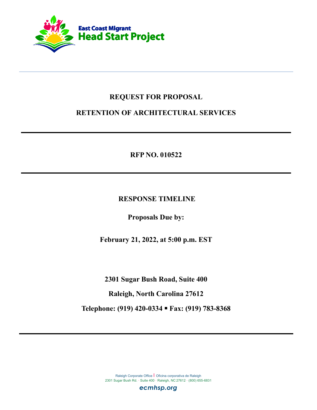

# **REQUEST FOR PROPOSAL**

# **RETENTION OF ARCHITECTURAL SERVICES**

**RFP NO. 010522**

**RESPONSE TIMELINE**

**Proposals Due by:**

**February 21, 2022, at 5:00 p.m. EST**

**2301 Sugar Bush Road, Suite 400**

**Raleigh, North Carolina 27612**

**Telephone: (919) 420-0334 Fax: (919) 783-8368**

Raleigh Corporate Office | Oficina corporativa de Raleigh 2301 Sugar Bush Rd. · Suite 400 · Raleigh, NC 27612 · (800) 655-6831

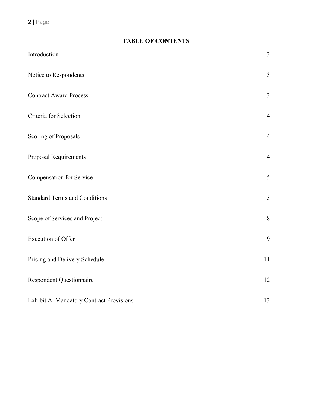2 | Page

| <b>TABLE OF CONTENTS</b> |  |  |  |  |
|--------------------------|--|--|--|--|
|--------------------------|--|--|--|--|

| Introduction                             | $\overline{3}$ |
|------------------------------------------|----------------|
| Notice to Respondents                    | $\overline{3}$ |
| <b>Contract Award Process</b>            | $\overline{3}$ |
| Criteria for Selection                   | $\overline{4}$ |
| Scoring of Proposals                     | $\overline{4}$ |
| <b>Proposal Requirements</b>             | $\overline{4}$ |
| Compensation for Service                 | 5              |
| <b>Standard Terms and Conditions</b>     | 5              |
| Scope of Services and Project            | 8              |
| Execution of Offer                       | 9              |
| Pricing and Delivery Schedule            | 11             |
| <b>Respondent Questionnaire</b>          | 12             |
| Exhibit A. Mandatory Contract Provisions | 13             |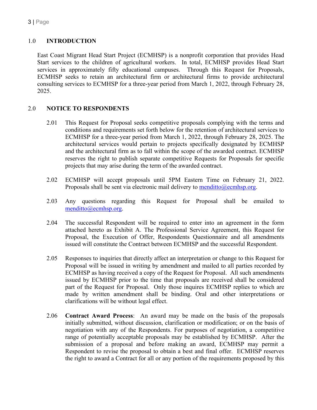# 1.0 **INTRODUCTION**

East Coast Migrant Head Start Project (ECMHSP) is a nonprofit corporation that provides Head Start services to the children of agricultural workers. In total, ECMHSP provides Head Start services in approximately fifty educational campuses. Through this Request for Proposals, ECMHSP seeks to retain an architectural firm or architectural firms to provide architectural consulting services to ECMHSP for a three-year period from March 1, 2022, through February 28, 2025.

# 2.0 **NOTICE TO RESPONDENTS**

- 2.01 This Request for Proposal seeks competitive proposals complying with the terms and conditions and requirements set forth below for the retention of architectural services to ECMHSP for a three-year period from March 1, 2022, through February 28, 2025. The architectural services would pertain to projects specifically designated by ECMHSP and the architectural firm as to fall within the scope of the awarded contract. ECMHSP reserves the right to publish separate competitive Requests for Proposals for specific projects that may arise during the term of the awarded contract.
- 2.02 ECMHSP will accept proposals until 5PM Eastern Time on February 21, 2022. Proposals shall be sent via electronic mail delivery to [menditto@ecmhsp.org.](mailto:menditto@ecmhsp.org)
- 2.03 Any questions regarding this Request for Proposal shall be emailed to [menditto@ecmhsp.org.](mailto:menditto@ecmhsp.org)
- 2.04 The successful Respondent will be required to enter into an agreement in the form attached hereto as Exhibit A. The Professional Service Agreement, this Request for Proposal, the Execution of Offer, Respondents Questionnaire and all amendments issued will constitute the Contract between ECMHSP and the successful Respondent.
- 2.05 Responses to inquiries that directly affect an interpretation or change to this Request for Proposal will be issued in writing by amendment and mailed to all parties recorded by ECMHSP as having received a copy of the Request for Proposal. All such amendments issued by ECMHSP prior to the time that proposals are received shall be considered part of the Request for Proposal. Only those inquires ECMHSP replies to which are made by written amendment shall be binding. Oral and other interpretations or clarifications will be without legal effect.
- 2.06 **Contract Award Process**: An award may be made on the basis of the proposals initially submitted, without discussion, clarification or modification; or on the basis of negotiation with any of the Respondents. For purposes of negotiation, a competitive range of potentially acceptable proposals may be established by ECMHSP. After the submission of a proposal and before making an award, ECMHSP may permit a Respondent to revise the proposal to obtain a best and final offer. ECMHSP reserves the right to award a Contract for all or any portion of the requirements proposed by this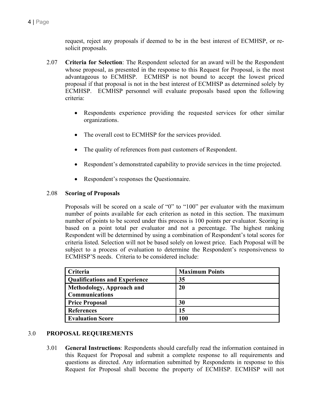request, reject any proposals if deemed to be in the best interest of ECMHSP, or resolicit proposals.

- 2.07 **Criteria for Selection**: The Respondent selected for an award will be the Respondent whose proposal, as presented in the response to this Request for Proposal, is the most advantageous to ECMHSP. ECMHSP is not bound to accept the lowest priced proposal if that proposal is not in the best interest of ECMHSP as determined solely by ECMHSP. ECMHSP personnel will evaluate proposals based upon the following criteria:
	- Respondents experience providing the requested services for other similar organizations.
	- The overall cost to ECMHSP for the services provided.
	- The quality of references from past customers of Respondent.
	- Respondent's demonstrated capability to provide services in the time projected.
	- Respondent's responses the Questionnaire.

#### 2.08 **Scoring of Proposals**

Proposals will be scored on a scale of "0" to "100" per evaluator with the maximum number of points available for each criterion as noted in this section. The maximum number of points to be scored under this process is 100 points per evaluator. Scoring is based on a point total per evaluator and not a percentage. The highest ranking Respondent will be determined by using a combination of Respondent's total scores for criteria listed. Selection will not be based solely on lowest price. Each Proposal will be subject to a process of evaluation to determine the Respondent's responsiveness to ECMHSP'S needs. Criteria to be considered include:

| Criteria                             | <b>Maximum Points</b> |
|--------------------------------------|-----------------------|
| <b>Qualifications and Experience</b> | 35                    |
| Methodology, Approach and            | <b>20</b>             |
| <b>Communications</b>                |                       |
| <b>Price Proposal</b>                | 30                    |
| <b>References</b>                    | 15                    |
| <b>Evaluation Score</b>              | 100                   |

### 3.0 **PROPOSAL REQUIREMENTS**

3.01 **General Instructions**: Respondents should carefully read the information contained in this Request for Proposal and submit a complete response to all requirements and questions as directed. Any information submitted by Respondents in response to this Request for Proposal shall become the property of ECMHSP. ECMHSP will not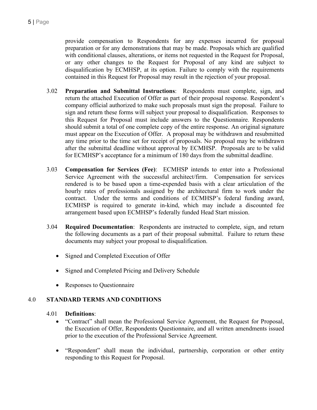provide compensation to Respondents for any expenses incurred for proposal preparation or for any demonstrations that may be made. Proposals which are qualified with conditional clauses, alterations, or items not requested in the Request for Proposal, or any other changes to the Request for Proposal of any kind are subject to disqualification by ECMHSP, at its option. Failure to comply with the requirements contained in this Request for Proposal may result in the rejection of your proposal.

- 3.02 **Preparation and Submittal Instructions**: Respondents must complete, sign, and return the attached Execution of Offer as part of their proposal response. Respondent's company official authorized to make such proposals must sign the proposal. Failure to sign and return these forms will subject your proposal to disqualification. Responses to this Request for Proposal must include answers to the Questionnaire. Respondents should submit a total of one complete copy of the entire response. An original signature must appear on the Execution of Offer. A proposal may be withdrawn and resubmitted any time prior to the time set for receipt of proposals. No proposal may be withdrawn after the submittal deadline without approval by ECMHSP. Proposals are to be valid for ECMHSP's acceptance for a minimum of 180 days from the submittal deadline.
- 3.03 **Compensation for Services (Fee)**: ECMHSP intends to enter into a Professional Service Agreement with the successful architect/firm. Compensation for services rendered is to be based upon a time-expended basis with a clear articulation of the hourly rates of professionals assigned by the architectural firm to work under the contract. Under the terms and conditions of ECMHSP's federal funding award, ECMHSP is required to generate in-kind, which may include a discounted fee arrangement based upon ECMHSP's federally funded Head Start mission.
- 3.04 **Required Documentation**: Respondents are instructed to complete, sign, and return the following documents as a part of their proposal submittal. Failure to return these documents may subject your proposal to disqualification.
	- Signed and Completed Execution of Offer
	- Signed and Completed Pricing and Delivery Schedule
	- Responses to Questionnaire

# 4.0 **STANDARD TERMS AND CONDITIONS**

### 4.01 **Definitions**:

- "Contract" shall mean the Professional Service Agreement, the Request for Proposal, the Execution of Offer, Respondents Questionnaire, and all written amendments issued prior to the execution of the Professional Service Agreement.
- "Respondent" shall mean the individual, partnership, corporation or other entity responding to this Request for Proposal.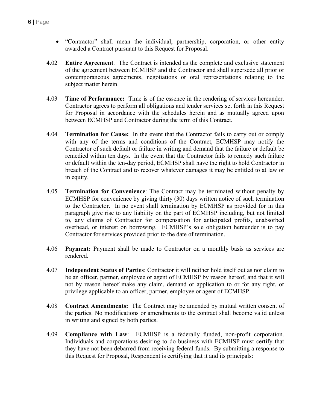- "Contractor" shall mean the individual, partnership, corporation, or other entity awarded a Contract pursuant to this Request for Proposal.
- 4.02 **Entire Agreement**. The Contract is intended as the complete and exclusive statement of the agreement between ECMHSP and the Contractor and shall supersede all prior or contemporaneous agreements, negotiations or oral representations relating to the subject matter herein.
- 4.03 **Time of Performance:** Time is of the essence in the rendering of services hereunder. Contractor agrees to perform all obligations and tender services set forth in this Request for Proposal in accordance with the schedules herein and as mutually agreed upon between ECMHSP and Contractor during the term of this Contract.
- 4.04 **Termination for Cause:** In the event that the Contractor fails to carry out or comply with any of the terms and conditions of the Contract, ECMHSP may notify the Contractor of such default or failure in writing and demand that the failure or default be remedied within ten days. In the event that the Contractor fails to remedy such failure or default within the ten-day period, ECMHSP shall have the right to hold Contractor in breach of the Contract and to recover whatever damages it may be entitled to at law or in equity.
- 4.05 **Termination for Convenience**: The Contract may be terminated without penalty by ECMHSP for convenience by giving thirty (30) days written notice of such termination to the Contractor. In no event shall termination by ECMHSP as provided for in this paragraph give rise to any liability on the part of ECMHSP including, but not limited to, any claims of Contractor for compensation for anticipated profits, unabsorbed overhead, or interest on borrowing. ECMHSP's sole obligation hereunder is to pay Contractor for services provided prior to the date of termination.
- 4.06 **Payment:** Payment shall be made to Contractor on a monthly basis as services are rendered.
- 4.07 **Independent Status of Parties**: Contractor it will neither hold itself out as nor claim to be an officer, partner, employee or agent of ECMHSP by reason hereof, and that it will not by reason hereof make any claim, demand or application to or for any right, or privilege applicable to an officer, partner, employee or agent of ECMHSP.
- 4.08 **Contract Amendments:** The Contract may be amended by mutual written consent of the parties. No modifications or amendments to the contract shall become valid unless in writing and signed by both parties.
- 4.09 **Compliance with Law**: ECMHSP is a federally funded, non-profit corporation. Individuals and corporations desiring to do business with ECMHSP must certify that they have not been debarred from receiving federal funds. By submitting a response to this Request for Proposal, Respondent is certifying that it and its principals: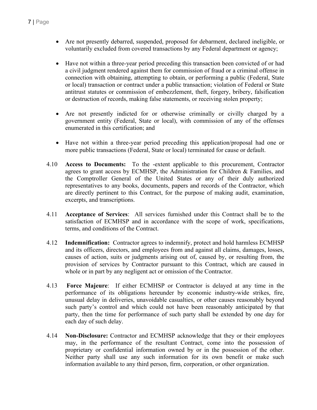- Are not presently debarred, suspended, proposed for debarment, declared ineligible, or voluntarily excluded from covered transactions by any Federal department or agency;
- Have not within a three-year period preceding this transaction been convicted of or had a civil judgment rendered against them for commission of fraud or a criminal offense in connection with obtaining, attempting to obtain, or performing a public (Federal, State or local) transaction or contract under a public transaction; violation of Federal or State antitrust statutes or commission of embezzlement, theft, forgery, bribery, falsification or destruction of records, making false statements, or receiving stolen property;
- Are not presently indicted for or otherwise criminally or civilly charged by a government entity (Federal, State or local), with commission of any of the offenses enumerated in this certification; and
- Have not within a three-year period preceding this application/proposal had one or more public transactions (Federal, State or local) terminated for cause or default.
- 4.10 **Access to Documents:** To the -extent applicable to this procurement, Contractor agrees to grant access by ECMHSP, the Administration for Children & Families, and the Comptroller General of the United States or any of their duly authorized representatives to any books, documents, papers and records of the Contractor, which are directly pertinent to this Contract, for the purpose of making audit, examination, excerpts, and transcriptions.
- 4.11 **Acceptance of Services**: All services furnished under this Contract shall be to the satisfaction of ECMHSP and in accordance with the scope of work, specifications, terms, and conditions of the Contract.
- 4.12 **Indemnification:** Contractor agrees to indemnify, protect and hold harmless ECMHSP and its officers, directors, and employees from and against all claims, damages, losses, causes of action, suits or judgments arising out of, caused by, or resulting from, the provision of services by Contractor pursuant to this Contract, which are caused in whole or in part by any negligent act or omission of the Contractor.
- 4.13 **Force Majeure**: If either ECMHSP or Contractor is delayed at any time in the performance of its obligations hereunder by economic industry-wide strikes, fire, unusual delay in deliveries, unavoidable casualties, or other causes reasonably beyond such party's control and which could not have been reasonably anticipated by that party, then the time for performance of such party shall be extended by one day for each day of such delay.
- 4.14 **Non-Disclosure:** Contractor and ECMHSP acknowledge that they or their employees may, in the performance of the resultant Contract, come into the possession of proprietary or confidential information owned by or in the possession of the other. Neither party shall use any such information for its own benefit or make such information available to any third person, firm, corporation, or other organization.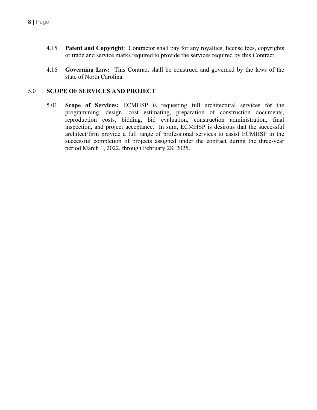- 4.15 **Patent and Copyright**: Contractor shall pay for any royalties, license fees, copyrights or trade and service marks required to provide the services required by this Contract.
- 4.16 **Governing Law:** This Contract shall be construed and governed by the laws of the state of North Carolina.

# 5.0 **SCOPE OF SERVICES AND PROJECT**

5.01 **Scope of Services:** ECMHSP is requesting full architectural services for the programming, design, cost estimating, preparation of construction documents, reproduction costs, bidding, bid evaluation, construction administration, final inspection, and project acceptance. In sum, ECMHSP is desirous that the successful architect/firm provide a full range of professional services to assist ECMHSP in the successful completion of projects assigned under the contract during the three-year period March 1, 2022, through February 28, 2025.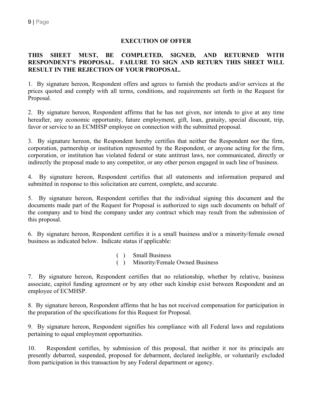### **EXECUTION OF OFFER**

### **THIS SHEET MUST, BE COMPLETED, SIGNED, AND RETURNED WITH RESPONDENT'S PROPOSAL. FAILURE TO SIGN AND RETURN THIS SHEET WILL RESULT IN THE REJECTION OF YOUR PROPOSAL.**

1. By signature hereon, Respondent offers and agrees to furnish the products and/or services at the prices quoted and comply with all terms, conditions, and requirements set forth in the Request for Proposal.

2. By signature hereon, Respondent affirms that he has not given, nor intends to give at any time hereafter, any economic opportunity, future employment, gift, loan, gratuity, special discount, trip, favor or service to an ECMHSP employee on connection with the submitted proposal.

3. By signature hereon, the Respondent hereby certifies that neither the Respondent nor the firm, corporation, partnership or institution represented by the Respondent, or anyone acting for the firm, corporation, or institution has violated federal or state antitrust laws, nor communicated, directly or indirectly the proposal made to any competitor, or any other person engaged in such line of business.

4. By signature hereon, Respondent certifies that all statements and information prepared and submitted in response to this solicitation are current, complete, and accurate.

5. By signature hereon, Respondent certifies that the individual signing this document and the documents made part of the Request for Proposal is authorized to sign such documents on behalf of the company and to bind the company under any contract which may result from the submission of this proposal.

6. By signature hereon, Respondent certifies it is a small business and/or a minority/female owned business as indicated below. Indicate status if applicable:

- ( ) Small Business
- ( ) Minority/Female Owned Business

7. By signature hereon, Respondent certifies that no relationship, whether by relative, business associate, capitol funding agreement or by any other such kinship exist between Respondent and an employee of ECMHSP.

8. By signature hereon, Respondent affirms that he has not received compensation for participation in the preparation of the specifications for this Request for Proposal.

9. By signature hereon, Respondent signifies his compliance with all Federal laws and regulations pertaining to equal employment opportunities.

10. Respondent certifies, by submission of this proposal, that neither it nor its principals are presently debarred, suspended, proposed for debarment, declared ineligible, or voluntarily excluded from participation in this transaction by any Federal department or agency.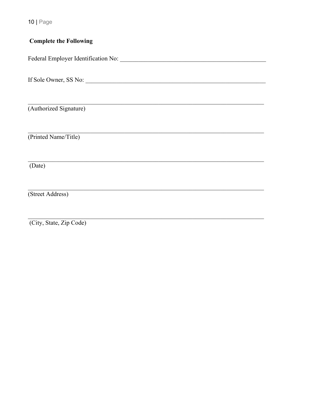$10$  | Page

# **Complete the Following**

(Authorized Signature)

(Printed Name/Title)

 $(Date)$ 

(Street Address)

(City, State, Zip Code)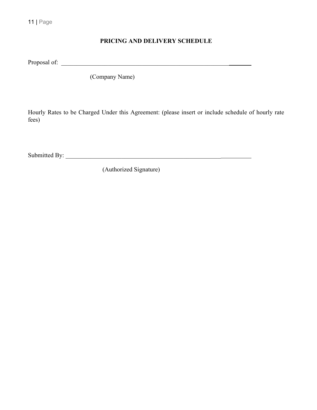# **PRICING AND DELIVERY SCHEDULE**

Proposal of: \_\_\_\_\_\_\_\_\_\_\_\_\_\_\_\_\_\_\_\_\_\_\_\_\_\_\_\_\_\_\_\_\_\_\_\_\_\_\_\_\_\_\_\_\_\_\_\_\_\_\_\_\_\_

(Company Name)

Hourly Rates to be Charged Under this Agreement: (please insert or include schedule of hourly rate fees)

Submitted By: \_\_\_\_\_\_\_\_\_\_\_\_\_\_\_\_\_\_\_\_\_\_\_\_\_\_\_\_\_\_\_\_\_\_\_\_\_\_\_\_\_\_\_\_\_\_\_\_\_\_

(Authorized Signature)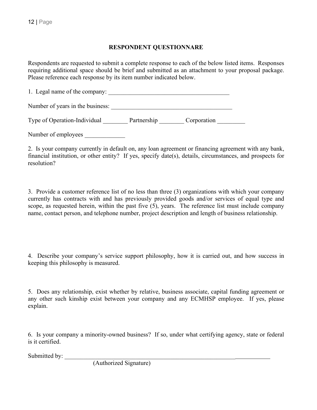## **RESPONDENT QUESTIONNARE**

Respondents are requested to submit a complete response to each of the below listed items. Responses requiring additional space should be brief and submitted as an attachment to your proposal package. Please reference each response by its item number indicated below.

| 1. Legal name of the company:    |             |             |
|----------------------------------|-------------|-------------|
| Number of years in the business: |             |             |
| Type of Operation-Individual     | Partnership | Corporation |

Number of employees

2. Is your company currently in default on, any loan agreement or financing agreement with any bank, financial institution, or other entity? If yes, specify date(s), details, circumstances, and prospects for resolution?

3. Provide a customer reference list of no less than three (3) organizations with which your company currently has contracts with and has previously provided goods and/or services of equal type and scope, as requested herein, within the past five (5), years. The reference list must include company name, contact person, and telephone number, project description and length of business relationship.

4. Describe your company's service support philosophy, how it is carried out, and how success in keeping this philosophy is measured.

5. Does any relationship, exist whether by relative, business associate, capital funding agreement or any other such kinship exist between your company and any ECMHSP employee. If yes, please explain.

6. Is your company a minority-owned business? If so, under what certifying agency, state or federal is it certified.

Submitted by:

(Authorized Signature)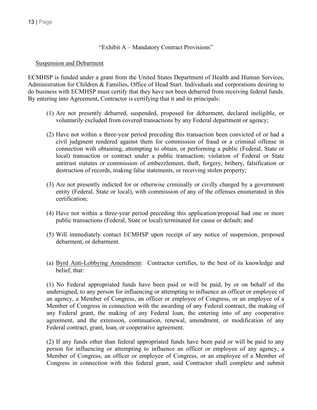#### "Exhibit A – Mandatory Contract Provisions"

#### Suspension and Debarment

ECMHSP is funded under a grant from the United States Department of Health and Human Services, Administration for Children & Families, Office of Head Start. Individuals and corporations desiring to do business with ECMHSP must certify that they have not been debarred from receiving federal funds. By entering into Agreement, Contractor is certifying that it and its principals:

- (1) Are not presently debarred, suspended, proposed for debarment, declared ineligible, or voluntarily excluded from covered transactions by any Federal department or agency;
- (2) Have not within a three-year period preceding this transaction been convicted of or had a civil judgment rendered against them for commission of fraud or a criminal offense in connection with obtaining, attempting to obtain, or performing a public (Federal, State or local) transaction or contract under a public transaction; violation of Federal or State antitrust statutes or commission of embezzlement, theft, forgery, bribery, falsification or destruction of records, making false statements, or receiving stolen property;
- (3) Are not presently indicted for or otherwise criminally or civilly charged by a government entity (Federal, State or local), with commission of any of the offenses enumerated in this certification;
- (4) Have not within a three-year period preceding this application/proposal had one or more public transactions (Federal, State or local) terminated for cause or default; and
- (5) Will immediately contact ECMHSP upon receipt of any notice of suspension, proposed debarment, or debarment.
- (a) Byrd Anti-Lobbying Amendment: Contractor certifies, to the best of its knowledge and belief, that:

(1) No Federal appropriated funds have been paid or will be paid, by or on behalf of the undersigned, to any person for influencing or attempting to influence an officer or employee of an agency, a Member of Congress, an officer or employee of Congress, or an employee of a Member of Congress in connection with the awarding of any Federal contract, the making of any Federal grant, the making of any Federal loan, the entering into of any cooperative agreement, and the extension, continuation, renewal, amendment, or modification of any Federal contract, grant, loan, or cooperative agreement.

(2) If any funds other than federal appropriated funds have been paid or will be paid to any person for influencing or attempting to influence an officer or employee of any agency, a Member of Congress, an officer or employee of Congress, or an employee of a Member of Congress in connection with this federal grant, said Contractor shall complete and submit